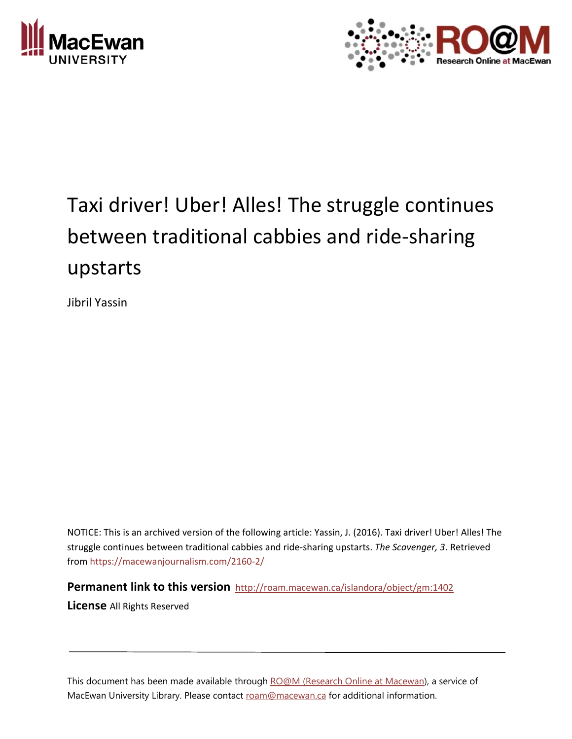



## Taxi driver! Uber! Alles! The struggle continues between traditional cabbies and ride‐sharing upstarts

Jibril Yassin

NOTICE: This is an archived version of the following article: Yassin, J. (2016). Taxi driver! Uber! Alles! The struggle continues between traditional cabbies and ride‐sharing upstarts. *The Scavenger, 3*. Retrieved from https://macewanjournalism.com/2160‐2/

**Permanent link to this version** http://roam.macewan.ca/islandora/object/gm:1402

**License** All Rights Reserved

This document has been made available through RO@M (Research Online at Macewan), a service of MacEwan University Library. Please contact roam@macewan.ca for additional information.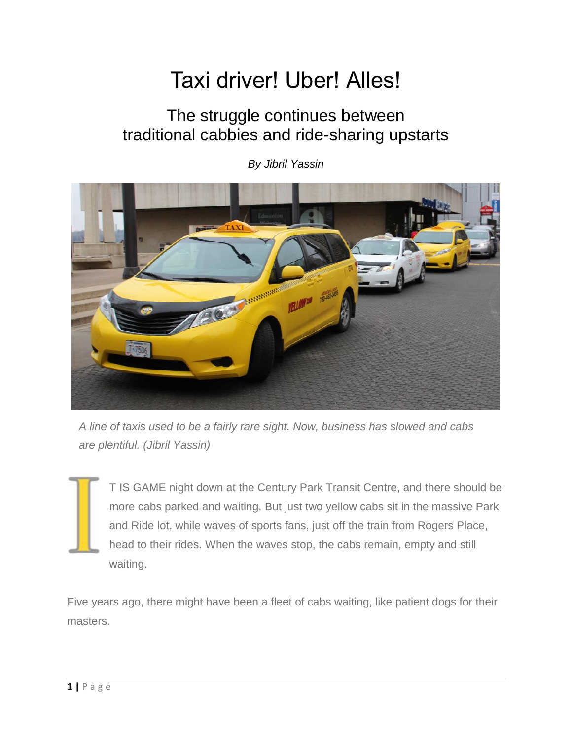## Taxi driver! Uber! Alles!

## The struggle continues between traditional cabbies and ride-sharing upstarts



*By Jibril Yassin*

*A line of taxis used to be a fairly rare sight. Now, business has slowed and cabs are plentiful. (Jibril Yassin)*

T IS GAME night down at the Century Park Transit Centre, and there should be more cabs parked and waiting. But just two yellow cabs sit in the massive Park and Ride lot, while waves of sports fans, just off the train from Rogers Place, head to their rides. When the waves stop, the cabs remain, empty and still waiting.

Five years ago, there might have been a fleet of cabs waiting, like patient dogs for their masters.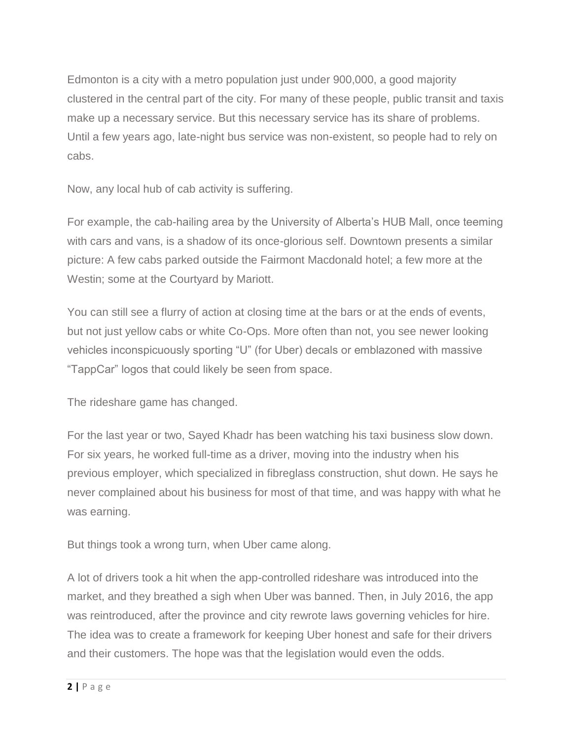Edmonton is a city with a metro population just under 900,000, a good majority clustered in the central part of the city. For many of these people, public transit and taxis make up a necessary service. But this necessary service has its share of problems. Until a few years ago, late-night bus service was non-existent, so people had to rely on cabs.

Now, any local hub of cab activity is suffering.

For example, the cab-hailing area by the University of Alberta's HUB Mall, once teeming with cars and vans, is a shadow of its once-glorious self. Downtown presents a similar picture: A few cabs parked outside the Fairmont Macdonald hotel; a few more at the Westin; some at the Courtyard by Mariott.

You can still see a flurry of action at closing time at the bars or at the ends of events, but not just yellow cabs or white Co-Ops. More often than not, you see newer looking vehicles inconspicuously sporting "U" (for Uber) decals or emblazoned with massive "TappCar" logos that could likely be seen from space.

The rideshare game has changed.

For the last year or two, Sayed Khadr has been watching his taxi business slow down. For six years, he worked full-time as a driver, moving into the industry when his previous employer, which specialized in fibreglass construction, shut down. He says he never complained about his business for most of that time, and was happy with what he was earning.

But things took a wrong turn, when Uber came along.

A lot of drivers took a hit when the app-controlled rideshare was introduced into the market, and they breathed a sigh when Uber was banned. Then, in July 2016, the app was reintroduced, after the province and city rewrote laws governing vehicles for hire. The idea was to create a framework for keeping Uber honest and safe for their drivers and their customers. The hope was that the legislation would even the odds.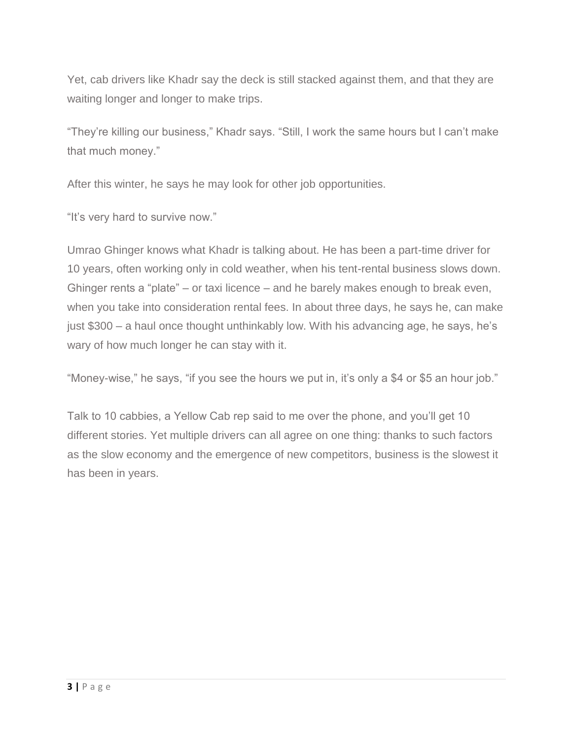Yet, cab drivers like Khadr say the deck is still stacked against them, and that they are waiting longer and longer to make trips.

"They're killing our business," Khadr says. "Still, I work the same hours but I can't make that much money."

After this winter, he says he may look for other job opportunities.

"It's very hard to survive now."

Umrao Ghinger knows what Khadr is talking about. He has been a part-time driver for 10 years, often working only in cold weather, when his tent-rental business slows down. Ghinger rents a "plate" – or taxi licence – and he barely makes enough to break even, when you take into consideration rental fees. In about three days, he says he, can make just \$300 – a haul once thought unthinkably low. With his advancing age, he says, he's wary of how much longer he can stay with it.

"Money-wise," he says, "if you see the hours we put in, it's only a \$4 or \$5 an hour job."

Talk to 10 cabbies, a Yellow Cab rep said to me over the phone, and you'll get 10 different stories. Yet multiple drivers can all agree on one thing: thanks to such factors as the slow economy and the emergence of new competitors, business is the slowest it has been in years.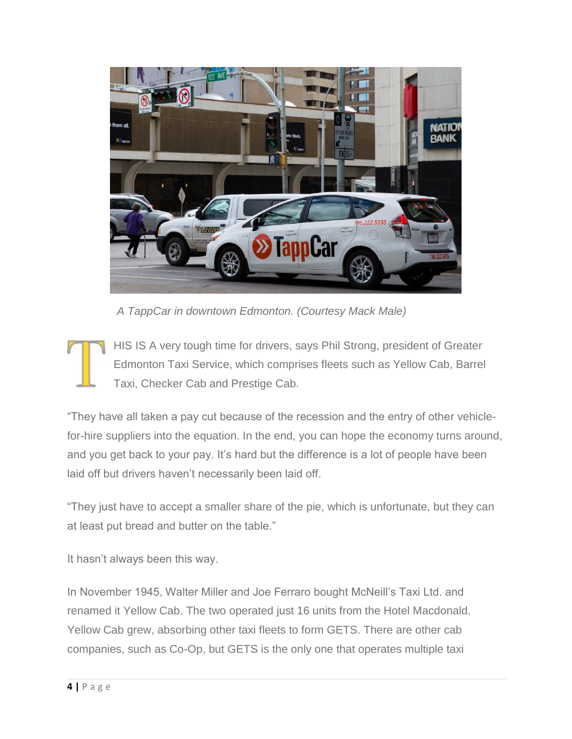

*A TappCar in downtown Edmonton. (Courtesy Mack Male)*

HIS IS A very tough time for drivers, says Phil Strong, president of Greater Edmonton Taxi Service, which comprises fleets such as Yellow Cab, Barrel Taxi, Checker Cab and Prestige Cab.

"They have all taken a pay cut because of the recession and the entry of other vehiclefor-hire suppliers into the equation. In the end, you can hope the economy turns around, and you get back to your pay. It's hard but the difference is a lot of people have been laid off but drivers haven't necessarily been laid off.

"They just have to accept a smaller share of the pie, which is unfortunate, but they can at least put bread and butter on the table."

It hasn't always been this way.

In November 1945, Walter Miller and Joe Ferraro bought McNeill's Taxi Ltd. and renamed it Yellow Cab. The two operated just 16 units from the Hotel Macdonald. Yellow Cab grew, absorbing other taxi fleets to form GETS. There are other cab companies, such as Co-Op, but GETS is the only one that operates multiple taxi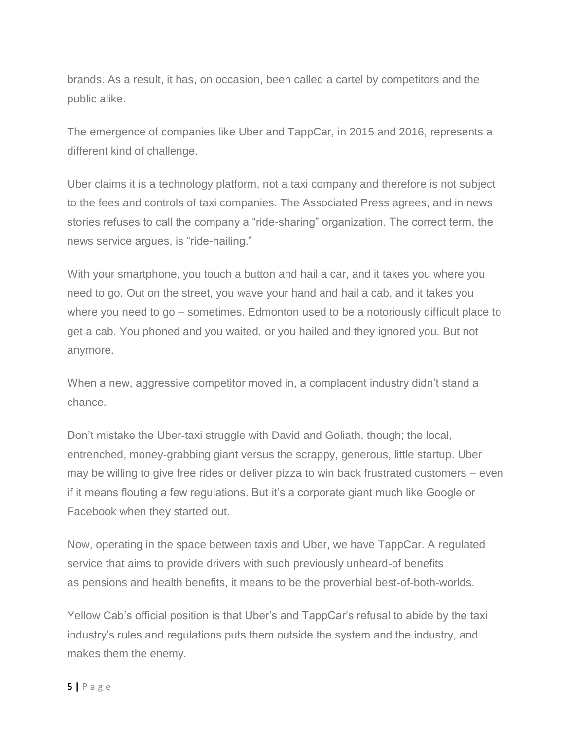brands. As a result, it has, on occasion, been called a cartel by competitors and the public alike.

The emergence of companies like Uber and TappCar, in 2015 and 2016, represents a different kind of challenge.

Uber claims it is a technology platform, not a taxi company and therefore is not subject to the fees and controls of taxi companies. The Associated Press agrees, and in news stories refuses to call the company a "ride-sharing" organization. The correct term, the news service argues, is "ride-hailing."

With your smartphone, you touch a button and hail a car, and it takes you where you need to go. Out on the street, you wave your hand and hail a cab, and it takes you where you need to go – sometimes. Edmonton used to be a notoriously difficult place to get a cab. You phoned and you waited, or you hailed and they ignored you. But not anymore.

When a new, aggressive competitor moved in, a complacent industry didn't stand a chance.

Don't mistake the Uber-taxi struggle with David and Goliath, though; the local, entrenched, money-grabbing giant versus the scrappy, generous, little startup. Uber may be willing to give free rides or deliver pizza to win back frustrated customers – even if it means flouting a few regulations. But it's a corporate giant much like Google or Facebook when they started out.

Now, operating in the space between taxis and Uber, we have TappCar. A regulated service that aims to provide drivers with such previously unheard-of benefits as pensions and health benefits, it means to be the proverbial best-of-both-worlds.

Yellow Cab's official position is that Uber's and TappCar's refusal to abide by the taxi industry's rules and regulations puts them outside the system and the industry, and makes them the enemy.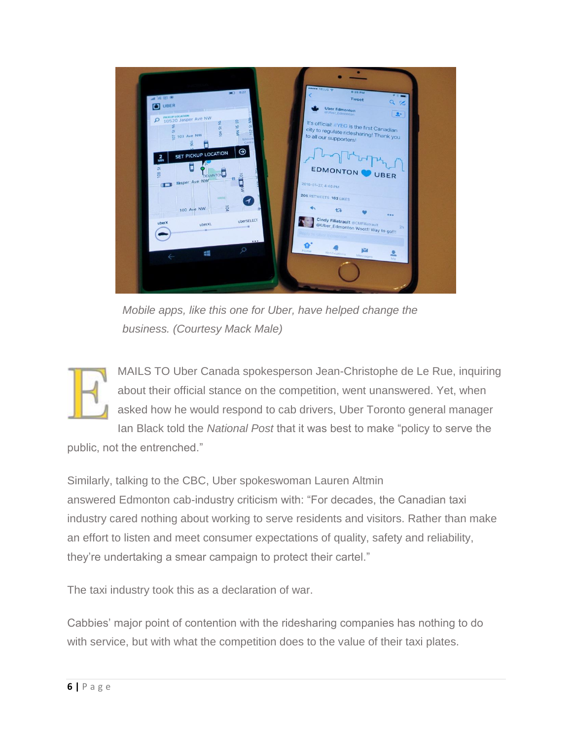

*Mobile apps, like this one for Uber, have helped change the business. (Courtesy Mack Male)*

MAILS TO Uber Canada spokesperson Jean-Christophe de Le Rue, inquiring about their official stance on the competition, went unanswered. Yet, when asked how he would respond to cab drivers, Uber Toronto general manager Ian Black told the *National Post* that it was best to make "policy to serve the

public, not the entrenched."

Similarly, talking to the CBC, Uber spokeswoman Lauren Altmin answered Edmonton cab-industry criticism with: "For decades, the Canadian taxi industry cared nothing about working to serve residents and visitors. Rather than make an effort to listen and meet consumer expectations of quality, safety and reliability, they're undertaking a smear campaign to protect their cartel."

The taxi industry took this as a declaration of war.

Cabbies' major point of contention with the ridesharing companies has nothing to do with service, but with what the competition does to the value of their taxi plates.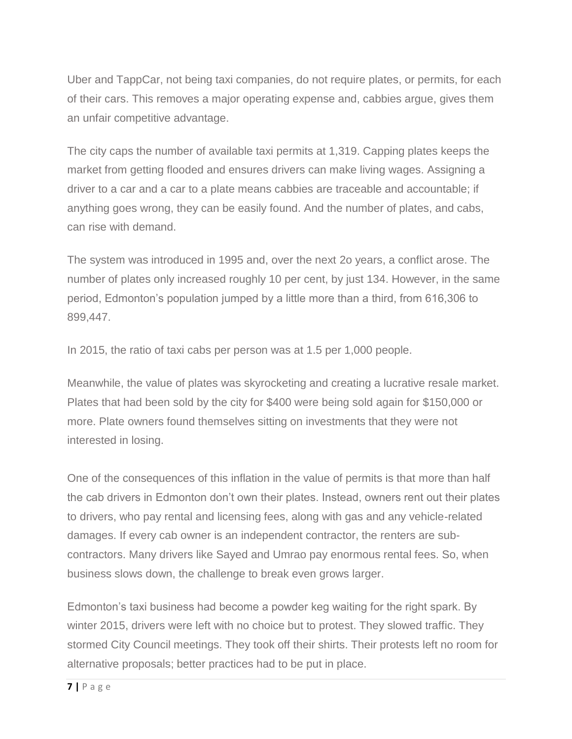Uber and TappCar, not being taxi companies, do not require plates, or permits, for each of their cars. This removes a major operating expense and, cabbies argue, gives them an unfair competitive advantage.

The city caps the number of available taxi permits at 1,319. Capping plates keeps the market from getting flooded and ensures drivers can make living wages. Assigning a driver to a car and a car to a plate means cabbies are traceable and accountable; if anything goes wrong, they can be easily found. And the number of plates, and cabs, can rise with demand.

The system was introduced in 1995 and, over the next 2o years, a conflict arose. The number of plates only increased roughly 10 per cent, by just 134. However, in the same period, Edmonton's population jumped by a little more than a third, from 616,306 to 899,447.

In 2015, the ratio of taxi cabs per person was at 1.5 per 1,000 people.

Meanwhile, the value of plates was skyrocketing and creating a lucrative resale market. Plates that had been sold by the city for \$400 were being sold again for \$150,000 or more. Plate owners found themselves sitting on investments that they were not interested in losing.

One of the consequences of this inflation in the value of permits is that more than half the cab drivers in Edmonton don't own their plates. Instead, owners rent out their plates to drivers, who pay rental and licensing fees, along with gas and any vehicle-related damages. If every cab owner is an independent contractor, the renters are subcontractors. Many drivers like Sayed and Umrao pay enormous rental fees. So, when business slows down, the challenge to break even grows larger.

Edmonton's taxi business had become a powder keg waiting for the right spark. By winter 2015, drivers were left with no choice but to protest. They slowed traffic. They stormed City Council meetings. They took off their shirts. Their protests left no room for alternative proposals; better practices had to be put in place.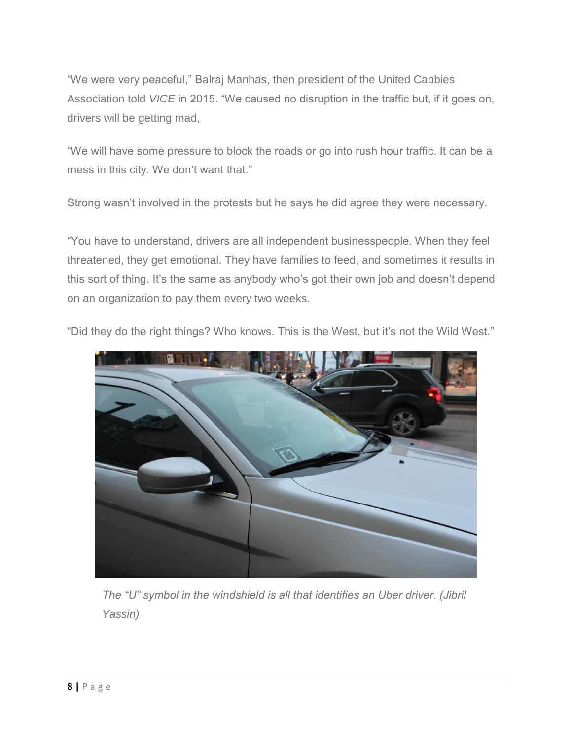"We were very peaceful," Balraj Manhas, then president of the United Cabbies Association told *VICE* in 2015. "We caused no disruption in the traffic but, if it goes on, drivers will be getting mad,

"We will have some pressure to block the roads or go into rush hour traffic. It can be a mess in this city. We don't want that."

Strong wasn't involved in the protests but he says he did agree they were necessary.

"You have to understand, drivers are all independent businesspeople. When they feel threatened, they get emotional. They have families to feed, and sometimes it results in this sort of thing. It's the same as anybody who's got their own job and doesn't depend on an organization to pay them every two weeks.



"Did they do the right things? Who knows. This is the West, but it's not the Wild West."

*The "U" symbol in the windshield is all that identifies an Uber driver. (Jibril Yassin)*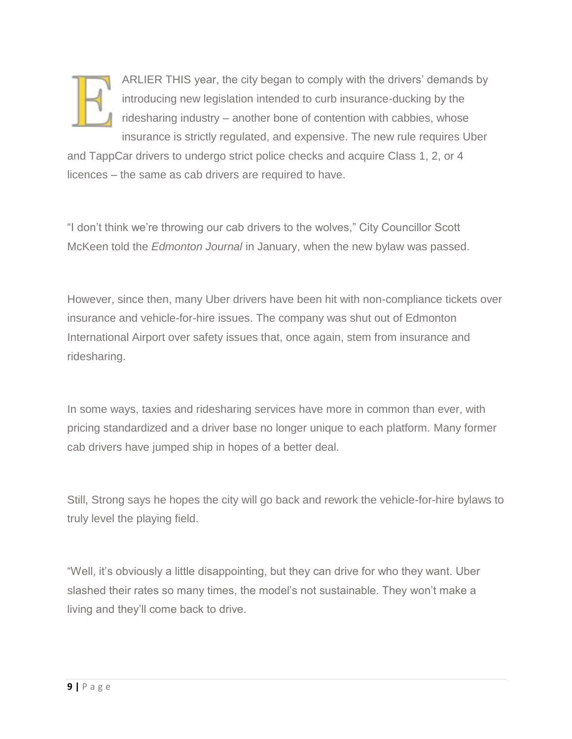

ARLIER THIS year, the city began to comply with the drivers' demands by introducing new legislation intended to curb insurance-ducking by the ridesharing industry – another bone of contention with cabbies, whose insurance is strictly regulated, and expensive. The new rule requires Uber

and TappCar drivers to undergo strict police checks and acquire Class 1, 2, or 4 licences – the same as cab drivers are required to have.

"I don't think we're throwing our cab drivers to the wolves," City Councillor Scott McKeen told the *Edmonton Journal* in January, when the new bylaw was passed.

However, since then, many Uber drivers have been hit with non-compliance tickets over insurance and vehicle-for-hire issues. The company was shut out of Edmonton International Airport over safety issues that, once again, stem from insurance and ridesharing.

In some ways, taxies and ridesharing services have more in common than ever, with pricing standardized and a driver base no longer unique to each platform. Many former cab drivers have jumped ship in hopes of a better deal.

Still, Strong says he hopes the city will go back and rework the vehicle-for-hire bylaws to truly level the playing field.

"Well, it's obviously a little disappointing, but they can drive for who they want. Uber slashed their rates so many times, the model's not sustainable. They won't make a living and they'll come back to drive.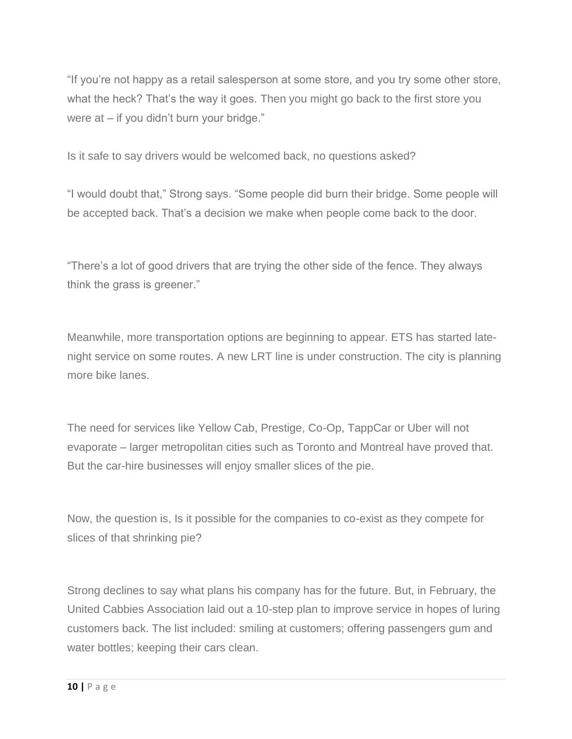"If you're not happy as a retail salesperson at some store, and you try some other store, what the heck? That's the way it goes. Then you might go back to the first store you were at – if you didn't burn your bridge."

Is it safe to say drivers would be welcomed back, no questions asked?

"I would doubt that," Strong says. "Some people did burn their bridge. Some people will be accepted back. That's a decision we make when people come back to the door.

"There's a lot of good drivers that are trying the other side of the fence. They always think the grass is greener."

Meanwhile, more transportation options are beginning to appear. ETS has started latenight service on some routes. A new LRT line is under construction. The city is planning more bike lanes.

The need for services like Yellow Cab, Prestige, Co-Op, TappCar or Uber will not evaporate – larger metropolitan cities such as Toronto and Montreal have proved that. But the car-hire businesses will enjoy smaller slices of the pie.

Now, the question is, Is it possible for the companies to co-exist as they compete for slices of that shrinking pie?

Strong declines to say what plans his company has for the future. But, in February, the United Cabbies Association laid out a 10-step plan to improve service in hopes of luring customers back. The list included: smiling at customers; offering passengers gum and water bottles; keeping their cars clean.